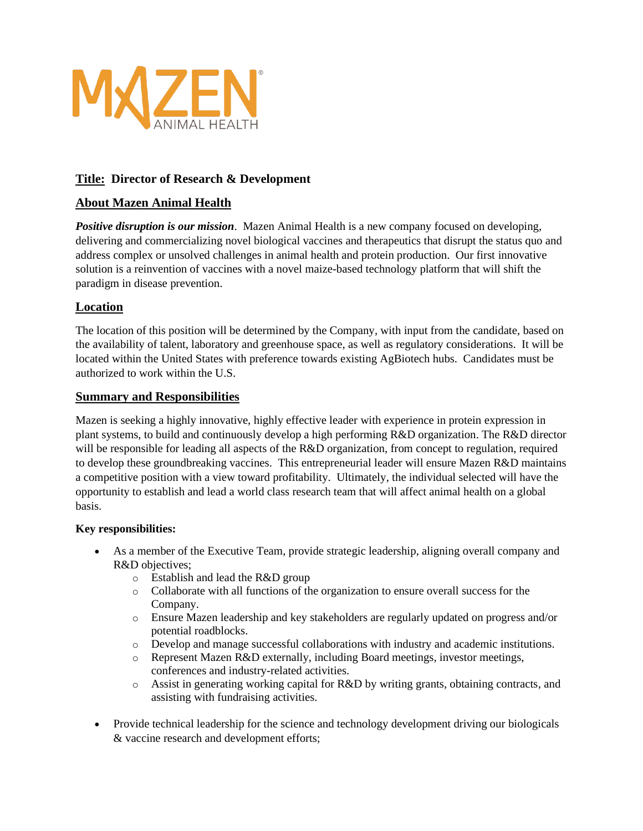

## **Title: Director of Research & Development**

## **About Mazen Animal Health**

*Positive disruption is our mission*. Mazen Animal Health is a new company focused on developing, delivering and commercializing novel biological vaccines and therapeutics that disrupt the status quo and address complex or unsolved challenges in animal health and protein production. Our first innovative solution is a reinvention of vaccines with a novel maize-based technology platform that will shift the paradigm in disease prevention.

## **Location**

The location of this position will be determined by the Company, with input from the candidate, based on the availability of talent, laboratory and greenhouse space, as well as regulatory considerations. It will be located within the United States with preference towards existing AgBiotech hubs. Candidates must be authorized to work within the U.S.

### **Summary and Responsibilities**

Mazen is seeking a highly innovative, highly effective leader with experience in protein expression in plant systems, to build and continuously develop a high performing R&D organization. The R&D director will be responsible for leading all aspects of the R&D organization, from concept to regulation, required to develop these groundbreaking vaccines. This entrepreneurial leader will ensure Mazen R&D maintains a competitive position with a view toward profitability. Ultimately, the individual selected will have the opportunity to establish and lead a world class research team that will affect animal health on a global basis.

### **Key responsibilities:**

- As a member of the Executive Team, provide strategic leadership, aligning overall company and R&D objectives;
	- o Establish and lead the R&D group
	- o Collaborate with all functions of the organization to ensure overall success for the Company.
	- o Ensure Mazen leadership and key stakeholders are regularly updated on progress and/or potential roadblocks.
	- o Develop and manage successful collaborations with industry and academic institutions.
	- o Represent Mazen R&D externally, including Board meetings, investor meetings, conferences and industry-related activities.
	- $\circ$  Assist in generating working capital for R&D by writing grants, obtaining contracts, and assisting with fundraising activities.
- Provide technical leadership for the science and technology development driving our biologicals & vaccine research and development efforts;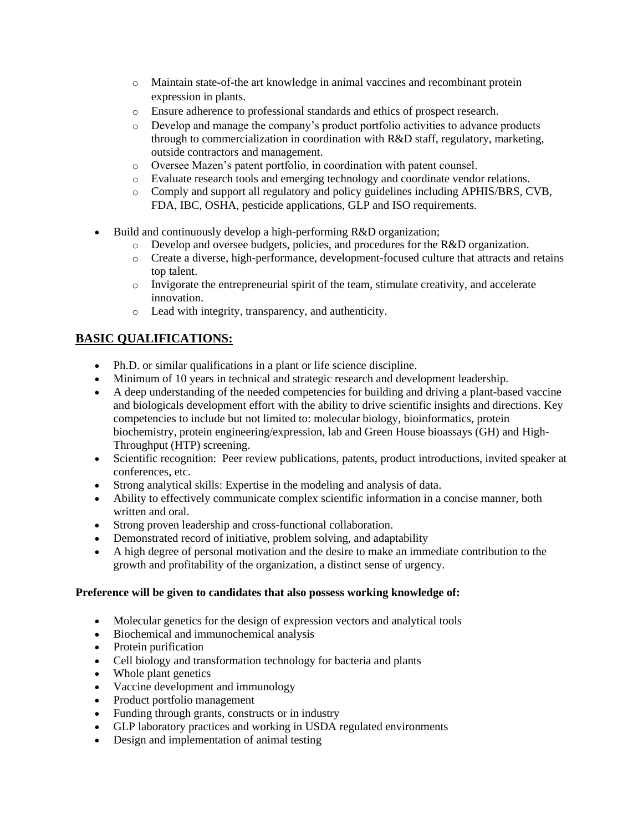- o Maintain state-of-the art knowledge in animal vaccines and recombinant protein expression in plants.
- o Ensure adherence to professional standards and ethics of prospect research.
- o Develop and manage the company's product portfolio activities to advance products through to commercialization in coordination with R&D staff, regulatory, marketing, outside contractors and management.
- o Oversee Mazen's patent portfolio, in coordination with patent counsel.
- o Evaluate research tools and emerging technology and coordinate vendor relations.
- o Comply and support all regulatory and policy guidelines including APHIS/BRS, CVB, FDA, IBC, OSHA, pesticide applications, GLP and ISO requirements.
- Build and continuously develop a high-performing R&D organization;
	- $\circ$  Develop and oversee budgets, policies, and procedures for the R&D organization.
	- o Create a diverse, high-performance, development-focused culture that attracts and retains top talent.
	- $\circ$  Invigorate the entrepreneurial spirit of the team, stimulate creativity, and accelerate innovation.
	- o Lead with integrity, transparency, and authenticity.

# **BASIC QUALIFICATIONS:**

- Ph.D. or similar qualifications in a plant or life science discipline.
- Minimum of 10 years in technical and strategic research and development leadership.
- A deep understanding of the needed competencies for building and driving a plant-based vaccine and biologicals development effort with the ability to drive scientific insights and directions. Key competencies to include but not limited to: molecular biology, bioinformatics, protein biochemistry, protein engineering/expression, lab and Green House bioassays (GH) and High-Throughput (HTP) screening.
- Scientific recognition: Peer review publications, patents, product introductions, invited speaker at conferences, etc.
- Strong analytical skills: Expertise in the modeling and analysis of data.
- Ability to effectively communicate complex scientific information in a concise manner, both written and oral.
- Strong proven leadership and cross-functional collaboration.
- Demonstrated record of initiative, problem solving, and adaptability
- A high degree of personal motivation and the desire to make an immediate contribution to the growth and profitability of the organization, a distinct sense of urgency.

### **Preference will be given to candidates that also possess working knowledge of:**

- Molecular genetics for the design of expression vectors and analytical tools
- Biochemical and immunochemical analysis
- Protein purification
- Cell biology and transformation technology for bacteria and plants
- Whole plant genetics
- Vaccine development and immunology
- Product portfolio management
- Funding through grants, constructs or in industry
- GLP laboratory practices and working in USDA regulated environments
- Design and implementation of animal testing